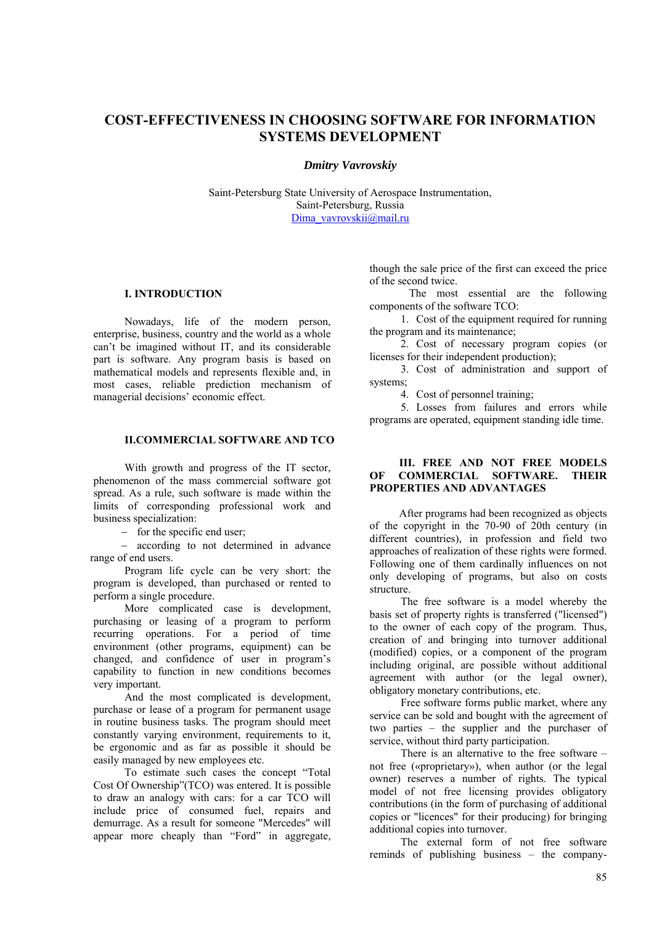# **COST-EFFECTIVENESS IN CHOOSING SOFTWARE FOR INFORMATION SYSTEMS DEVELOPMENT**

#### *Dmitry Vavrovskiy*

Saint-Petersburg State University of Aerospace Instrumentation, Saint-Petersburg, Russia Dima\_vavrovskii@mail.ru

#### **І. INTRODUCTION**

Nowadays, life of the modern person, enterprise, business, country and the world as a whole can't be imagined without IT, and its considerable part is software. Any program basis is based on mathematical models and represents flexible and, in most cases, reliable prediction mechanism of managerial decisions' economic effect.

# **II.COMMERCIAL SOFTWARE AND TCO**

With growth and progress of the IT sector, phenomenon of the mass commercial software got spread. As a rule, such software is made within the limits of corresponding professional work and business specialization:

− for the specific end user;

− according to not determined in advance range of end users.

Program life cycle can be very short: the program is developed, than purchased or rented to perform a single procedure.

More complicated case is development, purchasing or leasing of a program to perform recurring operations. For a period of time environment (other programs, equipment) can be changed, and confidence of user in program's capability to function in new conditions becomes very important.

And the most complicated is development, purchase or lease of a program for permanent usage in routine business tasks. The program should meet constantly varying environment, requirements to it, be ergonomic and as far as possible it should be easily managed by new employees etc.

To estimate such cases the concept "Total Cost Of Ownership"(TCO) was entered. It is possible to draw an analogy with cars: for a car TCO will include price of consumed fuel, repairs and demurrage. As a result for someone "Mercedes" will appear more cheaply than "Ford" in aggregate,

though the sale price of the first can exceed the price of the second twice.

The most essential are the following components of the software ТСО:

1. Cost of the equipment required for running the program and its maintenance;

2. Cost of necessary program copies (or licenses for their independent production);

3. Cost of administration and support of systems;

4. Cost of personnel training;

5. Losses from failures and errors while programs are operated, equipment standing idle time.

#### **III. FREE AND NOT FREE MODELS OF COMMERCIAL SOFTWARE. THEIR PROPERTIES AND ADVANTAGES**

After programs had been recognized as objects of the copyright in the 70-90 of 20th century (in different countries), in profession and field two approaches of realization of these rights were formed. Following one of them cardinally influences on not only developing of programs, but also on costs structure.

The free software is a model whereby the basis set of property rights is transferred ("licensed") to the owner of each copy of the program. Thus, creation of and bringing into turnover additional (modified) copies, or a component of the program including original, are possible without additional agreement with author (or the legal owner), obligatory monetary contributions, etc.

Free software forms public market, where any service can be sold and bought with the agreement of two parties – the supplier and the purchaser of service, without third party participation.

There is an alternative to the free software – not free («proprietary»), when author (or the legal owner) reserves a number of rights. The typical model of not free licensing provides obligatory contributions (in the form of purchasing of additional copies or "licences" for their producing) for bringing additional copies into turnover.

The external form of not free software reminds of publishing business – the company-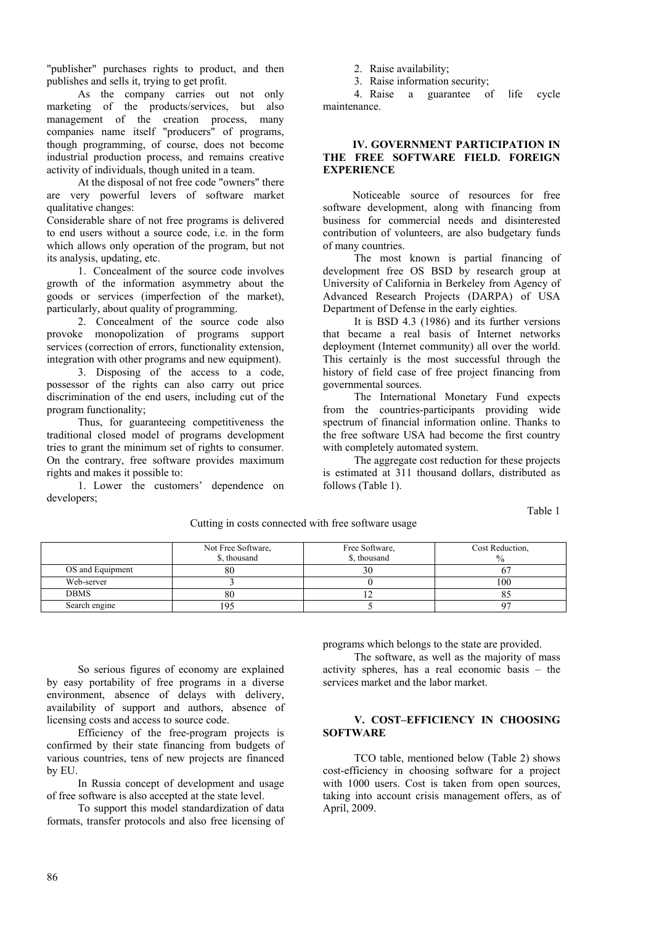"publisher" purchases rights to product, and then publishes and sells it, trying to get profit.

As the company carries out not only marketing of the products/services, but also management of the creation process, many companies name itself "producers" of programs, though programming, of course, does not become industrial production process, and remains creative activity of individuals, though united in a team.

At the disposal of not free code "owners" there are very powerful levers of software market qualitative changes:

Considerable share of not free programs is delivered to end users without a source code, i.e. in the form which allows only operation of the program, but not its analysis, updating, etc.

1. Concealment of the source code involves growth of the information asymmetry about the goods or services (imperfection of the market), particularly, about quality of programming.

2. Concealment of the source code also provoke monopolization of programs support services (correction of errors, functionality extension, integration with other programs and new equipment).

3. Disposing of the access to a code, possessor of the rights can also carry out price discrimination of the end users, including cut of the program functionality;

Thus, for guaranteeing competitiveness the traditional closed model of programs development tries to grant the minimum set of rights to consumer. On the contrary, free software provides maximum rights and makes it possible to:

1. Lower the customers' dependence on developers;

2. Raise availability;

3. Raise information security;

4. Raise a guarantee of life cycle maintenance.

#### **IV. GOVERNMENT PARTICIPATION IN THE FREE SOFTWARE FIELD. FOREIGN EXPERIENCE**

Noticeable source of resources for free software development, along with financing from business for commercial needs and disinterested contribution of volunteers, are also budgetary funds of many countries.

The most known is partial financing of development free OS BSD by research group at University of California in Berkeley from Agency of Advanced Research Projects (DARPA) of USA Department of Defense in the early eighties.

It is BSD 4.3 (1986) and its further versions that became a real basis of Internet networks deployment (Internet community) all over the world. This certainly is the most successful through the history of field case of free project financing from governmental sources.

The International Monetary Fund expects from the countries-participants providing wide spectrum of financial information online. Thanks to the free software USA had become the first country with completely automated system.

The aggregate cost reduction for these projects is estimated at 311 thousand dollars, distributed as follows (Table 1).

Table 1

|                  | Not Free Software,<br>\$, thousand | Free Software,<br>\$, thousand | Cost Reduction, |
|------------------|------------------------------------|--------------------------------|-----------------|
| OS and Equipment | oυ                                 | 3U                             |                 |
| Web-server       |                                    |                                | 100             |
| <b>DBMS</b>      | 80                                 |                                |                 |
| Search engine    | 195                                |                                |                 |

Cutting in costs connected with free software usage

So serious figures of economy are explained by easy portability of free programs in a diverse environment, absence of delays with delivery, availability of support and authors, absence of licensing costs and access to source code.

Efficiency of the free-program projects is confirmed by their state financing from budgets of various countries, tens of new projects are financed by EU.

In Russia concept of development and usage of free software is also accepted at the state level.

To support this model standardization of data formats, transfer protocols and also free licensing of programs which belongs to the state are provided.

The software, as well as the majority of mass activity spheres, has a real economic basis – the services market and the labor market.

# **V. COST–EFFICIENCY IN CHOOSING SOFTWARE**

ТСО table, mentioned below (Table 2) shows cost-efficiency in choosing software for a project with 1000 users. Cost is taken from open sources, taking into account crisis management offers, as of April, 2009.